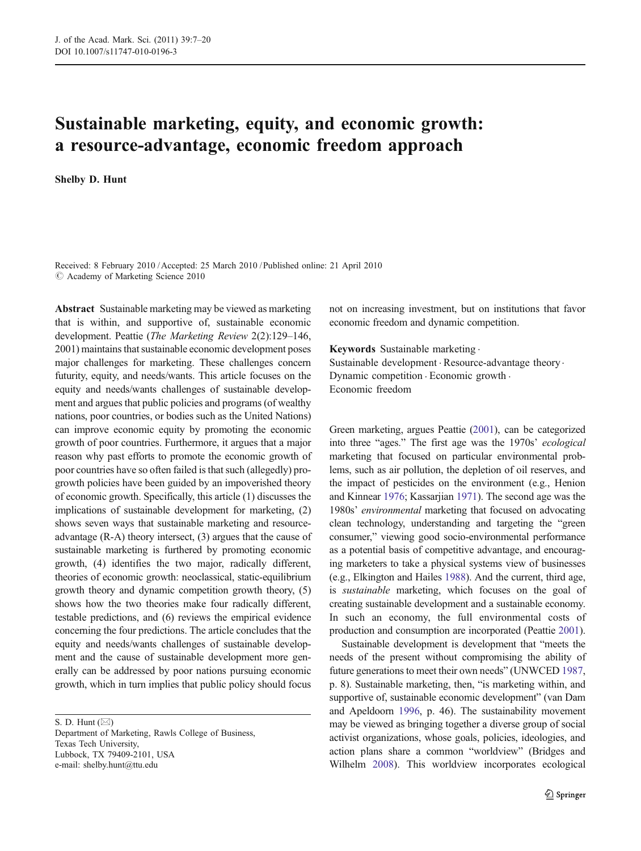# Sustainable marketing, equity, and economic growth: a resource-advantage, economic freedom approach

Shelby D. Hunt

Received: 8 February 2010 /Accepted: 25 March 2010 / Published online: 21 April 2010  $\odot$  Academy of Marketing Science 2010

Abstract Sustainable marketing may be viewed as marketing that is within, and supportive of, sustainable economic development. Peattie (The Marketing Review 2(2):129–146, 2001) maintains that sustainable economic development poses major challenges for marketing. These challenges concern futurity, equity, and needs/wants. This article focuses on the equity and needs/wants challenges of sustainable development and argues that public policies and programs (of wealthy nations, poor countries, or bodies such as the United Nations) can improve economic equity by promoting the economic growth of poor countries. Furthermore, it argues that a major reason why past efforts to promote the economic growth of poor countries have so often failed is that such (allegedly) progrowth policies have been guided by an impoverished theory of economic growth. Specifically, this article (1) discusses the implications of sustainable development for marketing, (2) shows seven ways that sustainable marketing and resourceadvantage (R-A) theory intersect, (3) argues that the cause of sustainable marketing is furthered by promoting economic growth, (4) identifies the two major, radically different, theories of economic growth: neoclassical, static-equilibrium growth theory and dynamic competition growth theory, (5) shows how the two theories make four radically different, testable predictions, and (6) reviews the empirical evidence concerning the four predictions. The article concludes that the equity and needs/wants challenges of sustainable development and the cause of sustainable development more generally can be addressed by poor nations pursuing economic growth, which in turn implies that public policy should focus

S. D. Hunt  $(\boxtimes)$ 

Department of Marketing, Rawls College of Business, Texas Tech University, Lubbock, TX 79409-2101, USA e-mail: shelby.hunt@ttu.edu

not on increasing investment, but on institutions that favor economic freedom and dynamic competition.

Keywords Sustainable marketing . Sustainable development . Resource-advantage theory. Dynamic competition . Economic growth . Economic freedom

Green marketing, argues Peattie ([2001](#page-13-0)), can be categorized into three "ages." The first age was the 1970s' ecological marketing that focused on particular environmental problems, such as air pollution, the depletion of oil reserves, and the impact of pesticides on the environment (e.g., Henion and Kinnear [1976;](#page-12-0) Kassarjian [1971\)](#page-13-0). The second age was the 1980s' environmental marketing that focused on advocating clean technology, understanding and targeting the "green consumer," viewing good socio-environmental performance as a potential basis of competitive advantage, and encouraging marketers to take a physical systems view of businesses (e.g., Elkington and Hailes [1988\)](#page-12-0). And the current, third age, is sustainable marketing, which focuses on the goal of creating sustainable development and a sustainable economy. In such an economy, the full environmental costs of production and consumption are incorporated (Peattie [2001\)](#page-13-0).

Sustainable development is development that "meets the needs of the present without compromising the ability of future generations to meet their own needs" (UNWCED [1987,](#page-13-0) p. 8). Sustainable marketing, then, "is marketing within, and supportive of, sustainable economic development" (van Dam and Apeldoorn [1996,](#page-13-0) p. 46). The sustainability movement may be viewed as bringing together a diverse group of social activist organizations, whose goals, policies, ideologies, and action plans share a common "worldview" (Bridges and Wilhelm [2008](#page-12-0)). This worldview incorporates ecological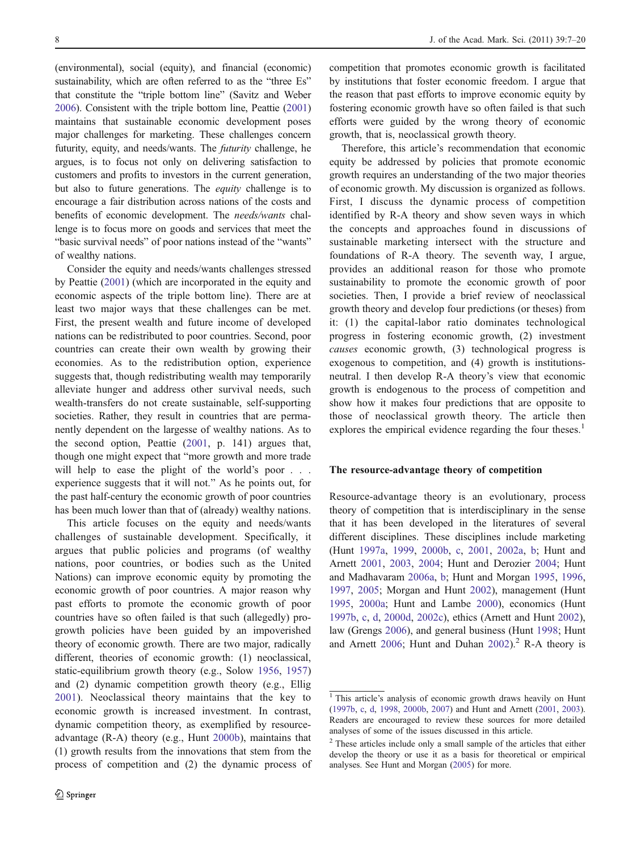(environmental), social (equity), and financial (economic) sustainability, which are often referred to as the "three Es" that constitute the "triple bottom line" (Savitz and Weber [2006\)](#page-13-0). Consistent with the triple bottom line, Peattie [\(2001\)](#page-13-0) maintains that sustainable economic development poses major challenges for marketing. These challenges concern futurity, equity, and needs/wants. The futurity challenge, he argues, is to focus not only on delivering satisfaction to customers and profits to investors in the current generation, but also to future generations. The *equity* challenge is to encourage a fair distribution across nations of the costs and benefits of economic development. The needs/wants challenge is to focus more on goods and services that meet the "basic survival needs" of poor nations instead of the "wants" of wealthy nations.

Consider the equity and needs/wants challenges stressed by Peattie ([2001\)](#page-13-0) (which are incorporated in the equity and economic aspects of the triple bottom line). There are at least two major ways that these challenges can be met. First, the present wealth and future income of developed nations can be redistributed to poor countries. Second, poor countries can create their own wealth by growing their economies. As to the redistribution option, experience suggests that, though redistributing wealth may temporarily alleviate hunger and address other survival needs, such wealth-transfers do not create sustainable, self-supporting societies. Rather, they result in countries that are permanently dependent on the largesse of wealthy nations. As to the second option, Peattie [\(2001](#page-13-0), p. 141) argues that, though one might expect that "more growth and more trade will help to ease the plight of the world's poor . . . experience suggests that it will not." As he points out, for the past half-century the economic growth of poor countries has been much lower than that of (already) wealthy nations.

This article focuses on the equity and needs/wants challenges of sustainable development. Specifically, it argues that public policies and programs (of wealthy nations, poor countries, or bodies such as the United Nations) can improve economic equity by promoting the economic growth of poor countries. A major reason why past efforts to promote the economic growth of poor countries have so often failed is that such (allegedly) progrowth policies have been guided by an impoverished theory of economic growth. There are two major, radically different, theories of economic growth: (1) neoclassical, static-equilibrium growth theory (e.g., Solow [1956](#page-13-0), [1957\)](#page-13-0) and (2) dynamic competition growth theory (e.g., Ellig [2001](#page-12-0)). Neoclassical theory maintains that the key to economic growth is increased investment. In contrast, dynamic competition theory, as exemplified by resourceadvantage (R-A) theory (e.g., Hunt [2000b](#page-13-0)), maintains that (1) growth results from the innovations that stem from the process of competition and (2) the dynamic process of competition that promotes economic growth is facilitated by institutions that foster economic freedom. I argue that the reason that past efforts to improve economic equity by fostering economic growth have so often failed is that such efforts were guided by the wrong theory of economic growth, that is, neoclassical growth theory.

Therefore, this article's recommendation that economic equity be addressed by policies that promote economic growth requires an understanding of the two major theories of economic growth. My discussion is organized as follows. First, I discuss the dynamic process of competition identified by R-A theory and show seven ways in which the concepts and approaches found in discussions of sustainable marketing intersect with the structure and foundations of R-A theory. The seventh way, I argue, provides an additional reason for those who promote sustainability to promote the economic growth of poor societies. Then, I provide a brief review of neoclassical growth theory and develop four predictions (or theses) from it: (1) the capital-labor ratio dominates technological progress in fostering economic growth, (2) investment causes economic growth, (3) technological progress is exogenous to competition, and (4) growth is institutionsneutral. I then develop R-A theory's view that economic growth is endogenous to the process of competition and show how it makes four predictions that are opposite to those of neoclassical growth theory. The article then explores the empirical evidence regarding the four theses.<sup>1</sup>

# The resource-advantage theory of competition

Resource-advantage theory is an evolutionary, process theory of competition that is interdisciplinary in the sense that it has been developed in the literatures of several different disciplines. These disciplines include marketing (Hunt [1997a](#page-12-0), [1999,](#page-13-0) [2000b,](#page-13-0) [c](#page-13-0), [2001](#page-13-0), [2002a](#page-13-0), [b](#page-13-0); Hunt and Arnett [2001,](#page-13-0) [2003](#page-13-0), [2004](#page-13-0); Hunt and Derozier [2004](#page-13-0); Hunt and Madhavaram [2006a,](#page-13-0) [b](#page-13-0); Hunt and Morgan [1995,](#page-13-0) [1996,](#page-13-0) [1997](#page-13-0), [2005;](#page-13-0) Morgan and Hunt [2002\)](#page-13-0), management (Hunt [1995](#page-12-0), [2000a](#page-13-0); Hunt and Lambe [2000\)](#page-13-0), economics (Hunt [1997b](#page-12-0), [c](#page-13-0), [d,](#page-13-0) [2000d](#page-13-0), [2002c\)](#page-13-0), ethics (Arnett and Hunt [2002\)](#page-12-0), law (Grengs [2006](#page-12-0)), and general business (Hunt [1998;](#page-13-0) Hunt and Arnett [2006;](#page-13-0) Hunt and Duhan  $2002$ ).<sup>2</sup> R-A theory is

<sup>&</sup>lt;sup>1</sup> This article's analysis of economic growth draws heavily on Hunt ([1997b](#page-12-0), [c,](#page-13-0) [d,](#page-13-0) [1998,](#page-13-0) [2000b](#page-13-0), [2007](#page-13-0)) and Hunt and Arnett ([2001](#page-13-0), [2003](#page-13-0)). Readers are encouraged to review these sources for more detailed analyses of some of the issues discussed in this article.

<sup>&</sup>lt;sup>2</sup> These articles include only a small sample of the articles that either develop the theory or use it as a basis for theoretical or empirical analyses. See Hunt and Morgan [\(2005](#page-13-0)) for more.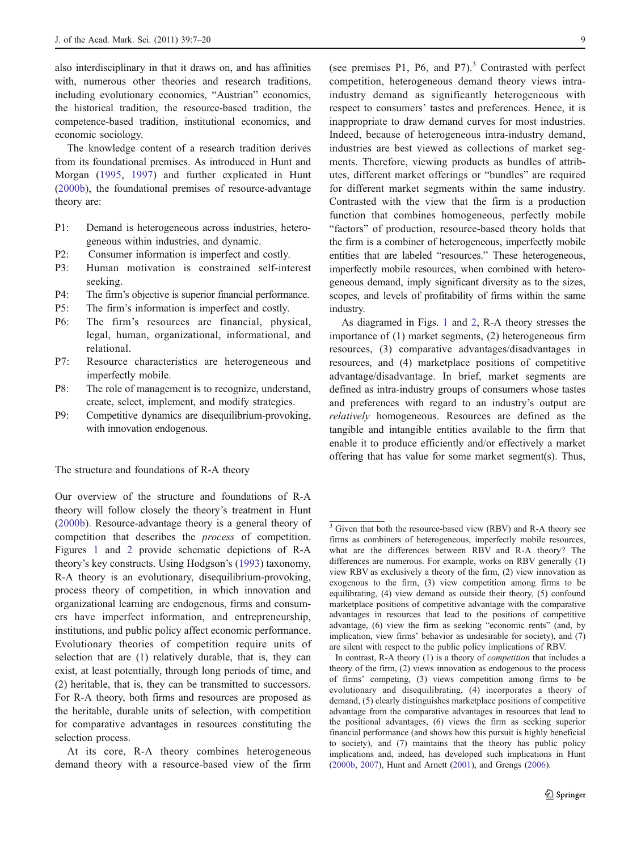also interdisciplinary in that it draws on, and has affinities with, numerous other theories and research traditions, including evolutionary economics, "Austrian" economics, the historical tradition, the resource-based tradition, the competence-based tradition, institutional economics, and economic sociology.

The knowledge content of a research tradition derives from its foundational premises. As introduced in Hunt and Morgan ([1995,](#page-13-0) [1997](#page-13-0)) and further explicated in Hunt [\(2000b](#page-13-0)), the foundational premises of resource-advantage theory are:

- P1: Demand is heterogeneous across industries, heterogeneous within industries, and dynamic.
- P2: Consumer information is imperfect and costly.
- P3: Human motivation is constrained self-interest seeking.
- P4: The firm's objective is superior financial performance.
- P5: The firm's information is imperfect and costly.
- P6: The firm's resources are financial, physical, legal, human, organizational, informational, and relational.
- P7: Resource characteristics are heterogeneous and imperfectly mobile.
- P8: The role of management is to recognize, understand, create, select, implement, and modify strategies.
- P9: Competitive dynamics are disequilibrium-provoking, with innovation endogenous.

The structure and foundations of R-A theory

Our overview of the structure and foundations of R-A theory will follow closely the theory's treatment in Hunt [\(2000b](#page-13-0)). Resource-advantage theory is a general theory of competition that describes the process of competition. Figures [1](#page-3-0) and [2](#page-3-0) provide schematic depictions of R-A theory's key constructs. Using Hodgson's ([1993\)](#page-12-0) taxonomy, R-A theory is an evolutionary, disequilibrium-provoking, process theory of competition, in which innovation and organizational learning are endogenous, firms and consumers have imperfect information, and entrepreneurship, institutions, and public policy affect economic performance. Evolutionary theories of competition require units of selection that are (1) relatively durable, that is, they can exist, at least potentially, through long periods of time, and (2) heritable, that is, they can be transmitted to successors. For R-A theory, both firms and resources are proposed as the heritable, durable units of selection, with competition for comparative advantages in resources constituting the selection process.

At its core, R-A theory combines heterogeneous demand theory with a resource-based view of the firm

(see premises P1, P6, and P7). $3$  Contrasted with perfect competition, heterogeneous demand theory views intraindustry demand as significantly heterogeneous with respect to consumers' tastes and preferences. Hence, it is inappropriate to draw demand curves for most industries. Indeed, because of heterogeneous intra-industry demand, industries are best viewed as collections of market segments. Therefore, viewing products as bundles of attributes, different market offerings or "bundles" are required for different market segments within the same industry. Contrasted with the view that the firm is a production function that combines homogeneous, perfectly mobile "factors" of production, resource-based theory holds that the firm is a combiner of heterogeneous, imperfectly mobile entities that are labeled "resources." These heterogeneous, imperfectly mobile resources, when combined with heterogeneous demand, imply significant diversity as to the sizes, scopes, and levels of profitability of firms within the same industry.

As diagramed in Figs. [1](#page-3-0) and [2](#page-3-0), R-A theory stresses the importance of (1) market segments, (2) heterogeneous firm resources, (3) comparative advantages/disadvantages in resources, and (4) marketplace positions of competitive advantage/disadvantage. In brief, market segments are defined as intra-industry groups of consumers whose tastes and preferences with regard to an industry's output are relatively homogeneous. Resources are defined as the tangible and intangible entities available to the firm that enable it to produce efficiently and/or effectively a market offering that has value for some market segment(s). Thus,

<sup>&</sup>lt;sup>3</sup> Given that both the resource-based view (RBV) and R-A theory see firms as combiners of heterogeneous, imperfectly mobile resources, what are the differences between RBV and R-A theory? The differences are numerous. For example, works on RBV generally (1) view RBV as exclusively a theory of the firm, (2) view innovation as exogenous to the firm, (3) view competition among firms to be equilibrating, (4) view demand as outside their theory, (5) confound marketplace positions of competitive advantage with the comparative advantages in resources that lead to the positions of competitive advantage, (6) view the firm as seeking "economic rents" (and, by implication, view firms' behavior as undesirable for society), and (7) are silent with respect to the public policy implications of RBV.

In contrast, R-A theory (1) is a theory of competition that includes a theory of the firm, (2) views innovation as endogenous to the process of firms' competing, (3) views competition among firms to be evolutionary and disequilibrating, (4) incorporates a theory of demand, (5) clearly distinguishes marketplace positions of competitive advantage from the comparative advantages in resources that lead to the positional advantages, (6) views the firm as seeking superior financial performance (and shows how this pursuit is highly beneficial to society), and (7) maintains that the theory has public policy implications and, indeed, has developed such implications in Hunt ([2000b](#page-13-0), [2007\)](#page-13-0), Hunt and Arnett [\(2001](#page-13-0)), and Grengs [\(2006](#page-12-0)).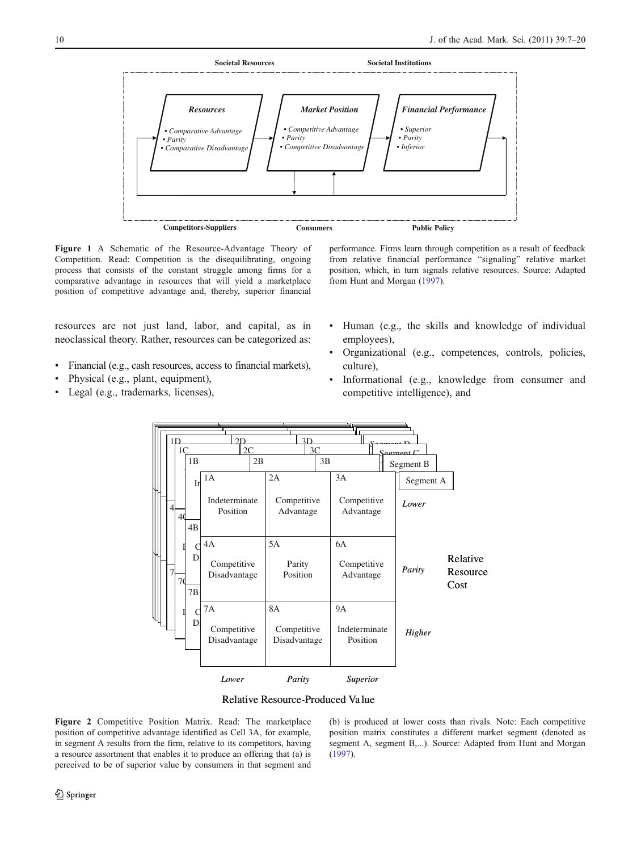<span id="page-3-0"></span>

Figure 1 A Schematic of the Resource-Advantage Theory of Competition. Read: Competition is the disequilibrating, ongoing process that consists of the constant struggle among firms for a comparative advantage in resources that will yield a marketplace position of competitive advantage and, thereby, superior financial

resources are not just land, labor, and capital, as in neoclassical theory. Rather, resources can be categorized as:

- & Financial (e.g., cash resources, access to financial markets),
- Physical (e.g., plant, equipment),
- Legal (e.g., trademarks, licenses),

performance. Firms learn through competition as a result of feedback from relative financial performance "signaling" relative market position, which, in turn signals relative resources. Source: Adapted from Hunt and Morgan ([1997\)](#page-13-0).

- & Human (e.g., the skills and knowledge of individual employees),
- & Organizational (e.g., competences, controls, policies, culture),
- & Informational (e.g., knowledge from consumer and competitive intelligence), and



#### Relative Resource-Produced Va lue

Figure 2 Competitive Position Matrix. Read: The marketplace position of competitive advantage identified as Cell 3A, for example, in segment A results from the firm, relative to its competitors, having a resource assortment that enables it to produce an offering that (a) is perceived to be of superior value by consumers in that segment and (b) is produced at lower costs than rivals. Note: Each competitive position matrix constitutes a different market segment (denoted as segment A, segment B,...). Source: Adapted from Hunt and Morgan ([1997\)](#page-13-0).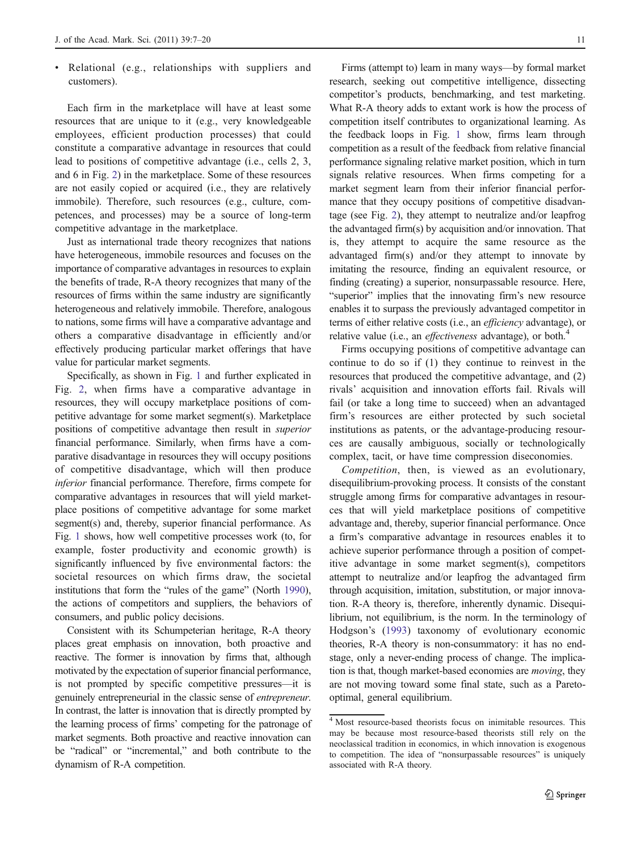Relational (e.g., relationships with suppliers and customers).

Each firm in the marketplace will have at least some resources that are unique to it (e.g., very knowledgeable employees, efficient production processes) that could constitute a comparative advantage in resources that could lead to positions of competitive advantage (i.e., cells 2, 3, and 6 in Fig. [2](#page-3-0)) in the marketplace. Some of these resources are not easily copied or acquired (i.e., they are relatively immobile). Therefore, such resources (e.g., culture, competences, and processes) may be a source of long-term competitive advantage in the marketplace.

Just as international trade theory recognizes that nations have heterogeneous, immobile resources and focuses on the importance of comparative advantages in resources to explain the benefits of trade, R-A theory recognizes that many of the resources of firms within the same industry are significantly heterogeneous and relatively immobile. Therefore, analogous to nations, some firms will have a comparative advantage and others a comparative disadvantage in efficiently and/or effectively producing particular market offerings that have value for particular market segments.

Specifically, as shown in Fig. [1](#page-3-0) and further explicated in Fig. [2](#page-3-0), when firms have a comparative advantage in resources, they will occupy marketplace positions of competitive advantage for some market segment(s). Marketplace positions of competitive advantage then result in superior financial performance. Similarly, when firms have a comparative disadvantage in resources they will occupy positions of competitive disadvantage, which will then produce inferior financial performance. Therefore, firms compete for comparative advantages in resources that will yield marketplace positions of competitive advantage for some market segment(s) and, thereby, superior financial performance. As Fig. [1](#page-3-0) shows, how well competitive processes work (to, for example, foster productivity and economic growth) is significantly influenced by five environmental factors: the societal resources on which firms draw, the societal institutions that form the "rules of the game" (North [1990\)](#page-13-0), the actions of competitors and suppliers, the behaviors of consumers, and public policy decisions.

Consistent with its Schumpeterian heritage, R-A theory places great emphasis on innovation, both proactive and reactive. The former is innovation by firms that, although motivated by the expectation of superior financial performance, is not prompted by specific competitive pressures—it is genuinely entrepreneurial in the classic sense of entrepreneur. In contrast, the latter is innovation that is directly prompted by the learning process of firms' competing for the patronage of market segments. Both proactive and reactive innovation can be "radical" or "incremental," and both contribute to the dynamism of R-A competition.

Firms (attempt to) learn in many ways—by formal market research, seeking out competitive intelligence, dissecting competitor's products, benchmarking, and test marketing. What R-A theory adds to extant work is how the process of competition itself contributes to organizational learning. As the feedback loops in Fig. [1](#page-3-0) show, firms learn through competition as a result of the feedback from relative financial performance signaling relative market position, which in turn signals relative resources. When firms competing for a market segment learn from their inferior financial performance that they occupy positions of competitive disadvantage (see Fig. [2\)](#page-3-0), they attempt to neutralize and/or leapfrog the advantaged firm(s) by acquisition and/or innovation. That is, they attempt to acquire the same resource as the advantaged firm(s) and/or they attempt to innovate by imitating the resource, finding an equivalent resource, or finding (creating) a superior, nonsurpassable resource. Here, "superior" implies that the innovating firm's new resource enables it to surpass the previously advantaged competitor in terms of either relative costs (i.e., an efficiency advantage), or relative value (i.e., an *effectiveness* advantage), or both.<sup>4</sup>

Firms occupying positions of competitive advantage can continue to do so if (1) they continue to reinvest in the resources that produced the competitive advantage, and (2) rivals' acquisition and innovation efforts fail. Rivals will fail (or take a long time to succeed) when an advantaged firm's resources are either protected by such societal institutions as patents, or the advantage-producing resources are causally ambiguous, socially or technologically complex, tacit, or have time compression diseconomies.

Competition, then, is viewed as an evolutionary, disequilibrium-provoking process. It consists of the constant struggle among firms for comparative advantages in resources that will yield marketplace positions of competitive advantage and, thereby, superior financial performance. Once a firm's comparative advantage in resources enables it to achieve superior performance through a position of competitive advantage in some market segment(s), competitors attempt to neutralize and/or leapfrog the advantaged firm through acquisition, imitation, substitution, or major innovation. R-A theory is, therefore, inherently dynamic. Disequilibrium, not equilibrium, is the norm. In the terminology of Hodgson's [\(1993](#page-12-0)) taxonomy of evolutionary economic theories, R-A theory is non-consummatory: it has no endstage, only a never-ending process of change. The implication is that, though market-based economies are moving, they are not moving toward some final state, such as a Paretooptimal, general equilibrium.

<sup>4</sup> Most resource-based theorists focus on inimitable resources. This may be because most resource-based theorists still rely on the neoclassical tradition in economics, in which innovation is exogenous to competition. The idea of "nonsurpassable resources" is uniquely associated with R-A theory.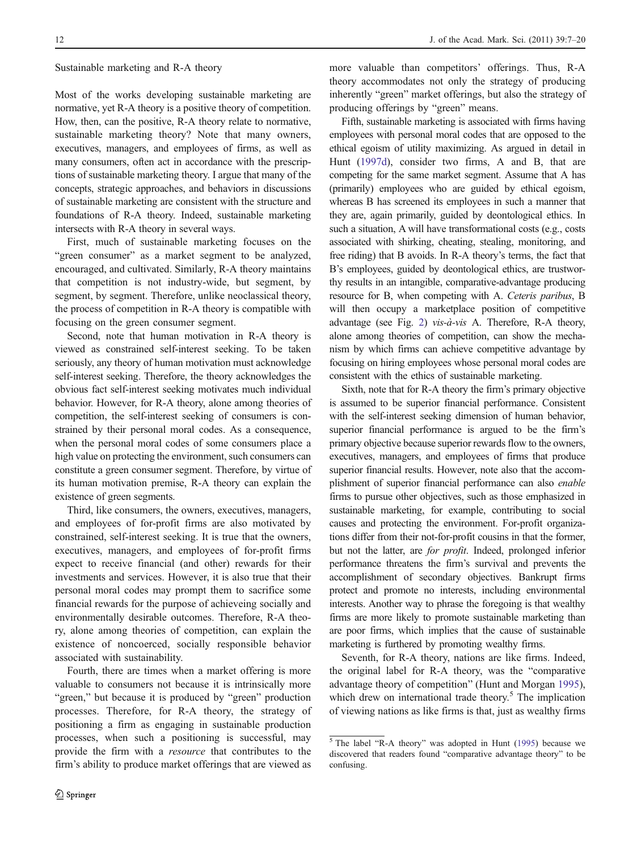#### Sustainable marketing and R-A theory

Most of the works developing sustainable marketing are normative, yet R-A theory is a positive theory of competition. How, then, can the positive, R-A theory relate to normative, sustainable marketing theory? Note that many owners, executives, managers, and employees of firms, as well as many consumers, often act in accordance with the prescriptions of sustainable marketing theory. I argue that many of the concepts, strategic approaches, and behaviors in discussions of sustainable marketing are consistent with the structure and foundations of R-A theory. Indeed, sustainable marketing intersects with R-A theory in several ways.

First, much of sustainable marketing focuses on the "green consumer" as a market segment to be analyzed, encouraged, and cultivated. Similarly, R-A theory maintains that competition is not industry-wide, but segment, by segment, by segment. Therefore, unlike neoclassical theory, the process of competition in R-A theory is compatible with focusing on the green consumer segment.

Second, note that human motivation in R-A theory is viewed as constrained self-interest seeking. To be taken seriously, any theory of human motivation must acknowledge self-interest seeking. Therefore, the theory acknowledges the obvious fact self-interest seeking motivates much individual behavior. However, for R-A theory, alone among theories of competition, the self-interest seeking of consumers is constrained by their personal moral codes. As a consequence, when the personal moral codes of some consumers place a high value on protecting the environment, such consumers can constitute a green consumer segment. Therefore, by virtue of its human motivation premise, R-A theory can explain the existence of green segments.

Third, like consumers, the owners, executives, managers, and employees of for-profit firms are also motivated by constrained, self-interest seeking. It is true that the owners, executives, managers, and employees of for-profit firms expect to receive financial (and other) rewards for their investments and services. However, it is also true that their personal moral codes may prompt them to sacrifice some financial rewards for the purpose of achieveing socially and environmentally desirable outcomes. Therefore, R-A theory, alone among theories of competition, can explain the existence of noncoerced, socially responsible behavior associated with sustainability.

Fourth, there are times when a market offering is more valuable to consumers not because it is intrinsically more "green," but because it is produced by "green" production processes. Therefore, for R-A theory, the strategy of positioning a firm as engaging in sustainable production processes, when such a positioning is successful, may provide the firm with a resource that contributes to the firm's ability to produce market offerings that are viewed as

more valuable than competitors' offerings. Thus, R-A theory accommodates not only the strategy of producing inherently "green" market offerings, but also the strategy of producing offerings by "green" means.

Fifth, sustainable marketing is associated with firms having employees with personal moral codes that are opposed to the ethical egoism of utility maximizing. As argued in detail in Hunt ([1997d\)](#page-13-0), consider two firms, A and B, that are competing for the same market segment. Assume that A has (primarily) employees who are guided by ethical egoism, whereas B has screened its employees in such a manner that they are, again primarily, guided by deontological ethics. In such a situation, A will have transformational costs (e.g., costs associated with shirking, cheating, stealing, monitoring, and free riding) that B avoids. In R-A theory's terms, the fact that B's employees, guided by deontological ethics, are trustworthy results in an intangible, comparative-advantage producing resource for B, when competing with A. Ceteris paribus, B will then occupy a marketplace position of competitive advantage (see Fig. [2](#page-3-0)) vis-à-vis A. Therefore, R-A theory, alone among theories of competition, can show the mechanism by which firms can achieve competitive advantage by focusing on hiring employees whose personal moral codes are consistent with the ethics of sustainable marketing.

Sixth, note that for R-A theory the firm's primary objective is assumed to be superior financial performance. Consistent with the self-interest seeking dimension of human behavior, superior financial performance is argued to be the firm's primary objective because superior rewards flow to the owners, executives, managers, and employees of firms that produce superior financial results. However, note also that the accomplishment of superior financial performance can also enable firms to pursue other objectives, such as those emphasized in sustainable marketing, for example, contributing to social causes and protecting the environment. For-profit organizations differ from their not-for-profit cousins in that the former, but not the latter, are for profit. Indeed, prolonged inferior performance threatens the firm's survival and prevents the accomplishment of secondary objectives. Bankrupt firms protect and promote no interests, including environmental interests. Another way to phrase the foregoing is that wealthy firms are more likely to promote sustainable marketing than are poor firms, which implies that the cause of sustainable marketing is furthered by promoting wealthy firms.

Seventh, for R-A theory, nations are like firms. Indeed, the original label for R-A theory, was the "comparative advantage theory of competition" (Hunt and Morgan [1995\)](#page-13-0), which drew on international trade theory.<sup>5</sup> The implication of viewing nations as like firms is that, just as wealthy firms

 $5$  The label "R-A theory" was adopted in Hunt ([1995\)](#page-12-0) because we discovered that readers found "comparative advantage theory" to be confusing.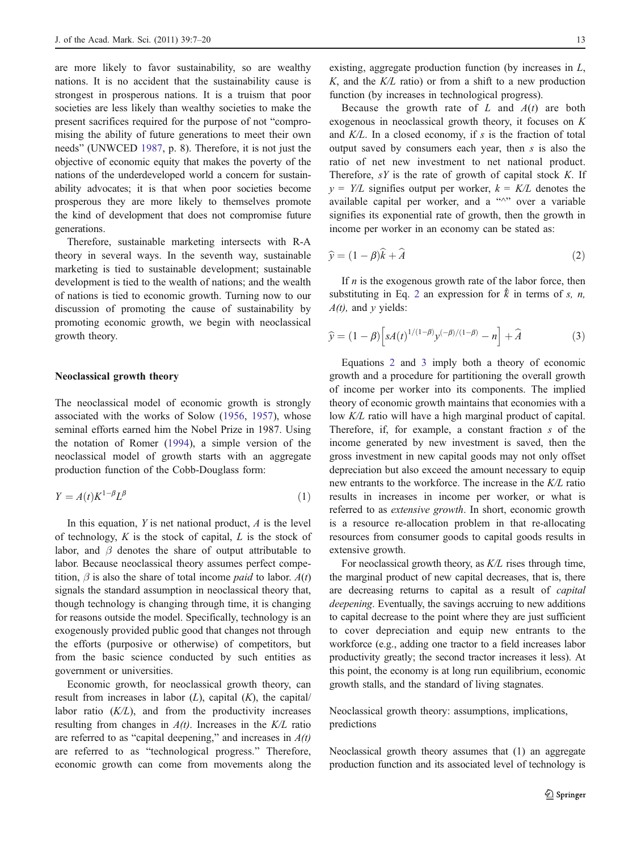<span id="page-6-0"></span>are more likely to favor sustainability, so are wealthy nations. It is no accident that the sustainability cause is strongest in prosperous nations. It is a truism that poor societies are less likely than wealthy societies to make the present sacrifices required for the purpose of not "compromising the ability of future generations to meet their own needs" (UNWCED [1987](#page-13-0), p. 8). Therefore, it is not just the objective of economic equity that makes the poverty of the nations of the underdeveloped world a concern for sustainability advocates; it is that when poor societies become prosperous they are more likely to themselves promote the kind of development that does not compromise future generations.

Therefore, sustainable marketing intersects with R-A theory in several ways. In the seventh way, sustainable marketing is tied to sustainable development; sustainable development is tied to the wealth of nations; and the wealth of nations is tied to economic growth. Turning now to our discussion of promoting the cause of sustainability by promoting economic growth, we begin with neoclassical growth theory.

# Neoclassical growth theory

The neoclassical model of economic growth is strongly associated with the works of Solow [\(1956](#page-13-0), [1957\)](#page-13-0), whose seminal efforts earned him the Nobel Prize in 1987. Using the notation of Romer ([1994\)](#page-13-0), a simple version of the neoclassical model of growth starts with an aggregate production function of the Cobb-Douglass form:

$$
Y = A(t)K^{1-\beta}L^{\beta}
$$
 (1)

In this equation,  $Y$  is net national product,  $A$  is the level of technology,  $K$  is the stock of capital,  $L$  is the stock of labor, and  $\beta$  denotes the share of output attributable to labor. Because neoclassical theory assumes perfect competition,  $\beta$  is also the share of total income *paid* to labor.  $A(t)$ signals the standard assumption in neoclassical theory that, though technology is changing through time, it is changing for reasons outside the model. Specifically, technology is an exogenously provided public good that changes not through the efforts (purposive or otherwise) of competitors, but from the basic science conducted by such entities as government or universities.

Economic growth, for neoclassical growth theory, can result from increases in labor  $(L)$ , capital  $(K)$ , the capital labor ratio  $(K/L)$ , and from the productivity increases resulting from changes in  $A(t)$ . Increases in the  $K/L$  ratio are referred to as "capital deepening," and increases in  $A(t)$ are referred to as "technological progress." Therefore, economic growth can come from movements along the existing, aggregate production function (by increases in L,  $K$ , and the  $K/L$  ratio) or from a shift to a new production function (by increases in technological progress).

Because the growth rate of  $L$  and  $A(t)$  are both exogenous in neoclassical growth theory, it focuses on K and  $K/L$ . In a closed economy, if s is the fraction of total output saved by consumers each year, then s is also the ratio of net new investment to net national product. Therefore,  $sY$  is the rate of growth of capital stock  $K$ . If  $y = Y/L$  signifies output per worker,  $k = K/L$  denotes the available capital per worker, and a "<sup>^"</sup> over a variable signifies its exponential rate of growth, then the growth in bincome per worker in an economy can be stated as: s its exponential rate of growth, then the growth in<br>per worker in an economy can be stated as:<br> $-\beta \hat{k} + \hat{A}$  (2)

$$
\widehat{y} = (1 - \beta)\widehat{k} + A \tag{2}
$$

If  $n$  is the exogenous growth rate of the labor force, then substituting in Eq. 2 an expression for  $\hat{k}$  in terms of s, n,  $A(t)$ , and y yields:  $A(t)$ , and y yields: *k* in terms of *s*, *n*,<br> $+ \hat{A}$  (3)

$$
\widehat{y} = (1 - \beta) \left[ sA(t)^{1/(1 - \beta)} y^{(-\beta)/(1 - \beta)} - n \right] + \widehat{A}
$$
\n(3)

Equations 2 and 3 imply both a theory of economic growth and a procedure for partitioning the overall growth of income per worker into its components. The implied theory of economic growth maintains that economies with a low K/L ratio will have a high marginal product of capital. Therefore, if, for example, a constant fraction s of the income generated by new investment is saved, then the gross investment in new capital goods may not only offset depreciation but also exceed the amount necessary to equip new entrants to the workforce. The increase in the K/L ratio results in increases in income per worker, or what is referred to as extensive growth. In short, economic growth is a resource re-allocation problem in that re-allocating resources from consumer goods to capital goods results in extensive growth.

For neoclassical growth theory, as  $K/L$  rises through time, the marginal product of new capital decreases, that is, there are decreasing returns to capital as a result of capital deepening. Eventually, the savings accruing to new additions to capital decrease to the point where they are just sufficient to cover depreciation and equip new entrants to the workforce (e.g., adding one tractor to a field increases labor productivity greatly; the second tractor increases it less). At this point, the economy is at long run equilibrium, economic growth stalls, and the standard of living stagnates.

Neoclassical growth theory: assumptions, implications, predictions

Neoclassical growth theory assumes that (1) an aggregate production function and its associated level of technology is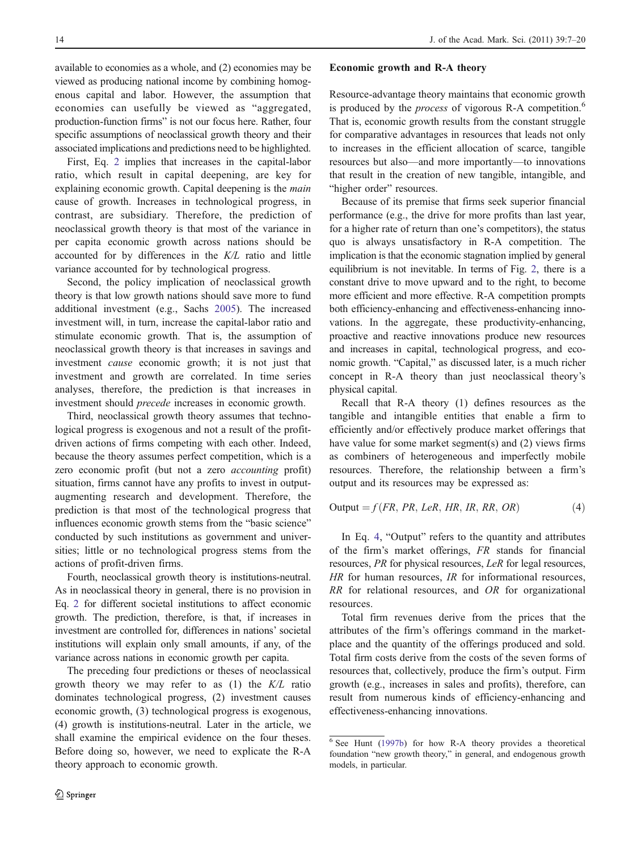available to economies as a whole, and (2) economies may be viewed as producing national income by combining homogenous capital and labor. However, the assumption that economies can usefully be viewed as "aggregated, production-function firms" is not our focus here. Rather, four specific assumptions of neoclassical growth theory and their associated implications and predictions need to be highlighted.

First, Eq. [2](#page-6-0) implies that increases in the capital-labor ratio, which result in capital deepening, are key for explaining economic growth. Capital deepening is the main cause of growth. Increases in technological progress, in contrast, are subsidiary. Therefore, the prediction of neoclassical growth theory is that most of the variance in per capita economic growth across nations should be accounted for by differences in the K/L ratio and little variance accounted for by technological progress.

Second, the policy implication of neoclassical growth theory is that low growth nations should save more to fund additional investment (e.g., Sachs [2005\)](#page-13-0). The increased investment will, in turn, increase the capital-labor ratio and stimulate economic growth. That is, the assumption of neoclassical growth theory is that increases in savings and investment cause economic growth; it is not just that investment and growth are correlated. In time series analyses, therefore, the prediction is that increases in investment should precede increases in economic growth.

Third, neoclassical growth theory assumes that technological progress is exogenous and not a result of the profitdriven actions of firms competing with each other. Indeed, because the theory assumes perfect competition, which is a zero economic profit (but not a zero accounting profit) situation, firms cannot have any profits to invest in outputaugmenting research and development. Therefore, the prediction is that most of the technological progress that influences economic growth stems from the "basic science" conducted by such institutions as government and universities; little or no technological progress stems from the actions of profit-driven firms.

Fourth, neoclassical growth theory is institutions-neutral. As in neoclassical theory in general, there is no provision in Eq. [2](#page-6-0) for different societal institutions to affect economic growth. The prediction, therefore, is that, if increases in investment are controlled for, differences in nations' societal institutions will explain only small amounts, if any, of the variance across nations in economic growth per capita.

The preceding four predictions or theses of neoclassical growth theory we may refer to as  $(1)$  the  $K/L$  ratio dominates technological progress, (2) investment causes economic growth, (3) technological progress is exogenous, (4) growth is institutions-neutral. Later in the article, we shall examine the empirical evidence on the four theses. Before doing so, however, we need to explicate the R-A theory approach to economic growth.

# Economic growth and R-A theory

Resource-advantage theory maintains that economic growth is produced by the *process* of vigorous R-A competition.<sup>6</sup> That is, economic growth results from the constant struggle for comparative advantages in resources that leads not only to increases in the efficient allocation of scarce, tangible resources but also—and more importantly—to innovations that result in the creation of new tangible, intangible, and "higher order" resources.

Because of its premise that firms seek superior financial performance (e.g., the drive for more profits than last year, for a higher rate of return than one's competitors), the status quo is always unsatisfactory in R-A competition. The implication is that the economic stagnation implied by general equilibrium is not inevitable. In terms of Fig. [2,](#page-3-0) there is a constant drive to move upward and to the right, to become more efficient and more effective. R-A competition prompts both efficiency-enhancing and effectiveness-enhancing innovations. In the aggregate, these productivity-enhancing, proactive and reactive innovations produce new resources and increases in capital, technological progress, and economic growth. "Capital," as discussed later, is a much richer concept in R-A theory than just neoclassical theory's physical capital.

Recall that R-A theory (1) defines resources as the tangible and intangible entities that enable a firm to efficiently and/or effectively produce market offerings that have value for some market segment(s) and (2) views firms as combiners of heterogeneous and imperfectly mobile resources. Therefore, the relationship between a firm's output and its resources may be expressed as:

Output  $=f(FR, PR, LeR, HR, IR, RR, OR)$  (4)

In Eq. 4, "Output" refers to the quantity and attributes of the firm's market offerings, FR stands for financial resources, PR for physical resources, LeR for legal resources, HR for human resources, IR for informational resources, RR for relational resources, and OR for organizational resources.

Total firm revenues derive from the prices that the attributes of the firm's offerings command in the marketplace and the quantity of the offerings produced and sold. Total firm costs derive from the costs of the seven forms of resources that, collectively, produce the firm's output. Firm growth (e.g., increases in sales and profits), therefore, can result from numerous kinds of efficiency-enhancing and effectiveness-enhancing innovations.

<sup>6</sup> See Hunt [\(1997b](#page-12-0)) for how R-A theory provides a theoretical foundation "new growth theory," in general, and endogenous growth models, in particular.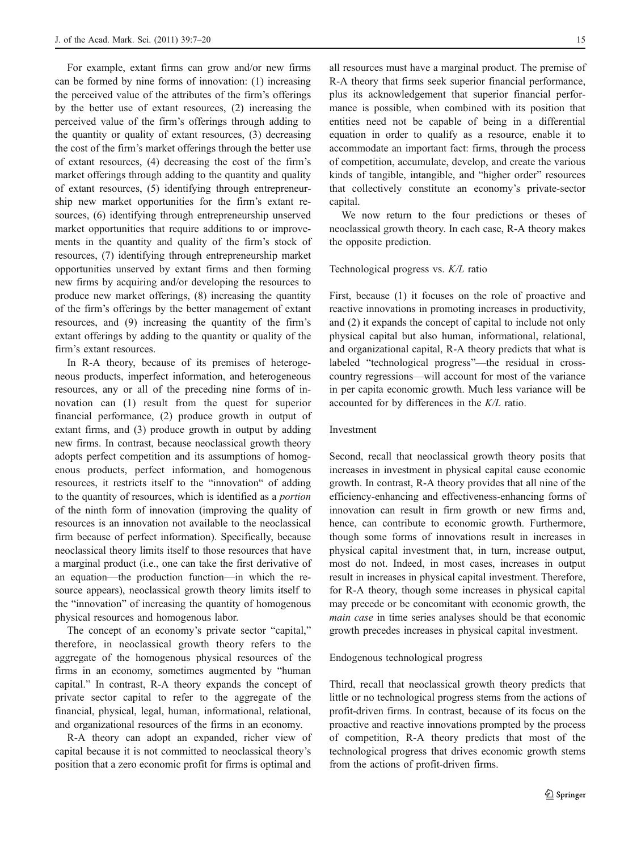For example, extant firms can grow and/or new firms can be formed by nine forms of innovation: (1) increasing the perceived value of the attributes of the firm's offerings by the better use of extant resources, (2) increasing the perceived value of the firm's offerings through adding to the quantity or quality of extant resources, (3) decreasing the cost of the firm's market offerings through the better use of extant resources, (4) decreasing the cost of the firm's market offerings through adding to the quantity and quality of extant resources, (5) identifying through entrepreneurship new market opportunities for the firm's extant resources, (6) identifying through entrepreneurship unserved market opportunities that require additions to or improvements in the quantity and quality of the firm's stock of resources, (7) identifying through entrepreneurship market opportunities unserved by extant firms and then forming new firms by acquiring and/or developing the resources to produce new market offerings, (8) increasing the quantity of the firm's offerings by the better management of extant resources, and (9) increasing the quantity of the firm's extant offerings by adding to the quantity or quality of the firm's extant resources.

In R-A theory, because of its premises of heterogeneous products, imperfect information, and heterogeneous resources, any or all of the preceding nine forms of innovation can (1) result from the quest for superior financial performance, (2) produce growth in output of extant firms, and (3) produce growth in output by adding new firms. In contrast, because neoclassical growth theory adopts perfect competition and its assumptions of homogenous products, perfect information, and homogenous resources, it restricts itself to the "innovation" of adding to the quantity of resources, which is identified as a portion of the ninth form of innovation (improving the quality of resources is an innovation not available to the neoclassical firm because of perfect information). Specifically, because neoclassical theory limits itself to those resources that have a marginal product (i.e., one can take the first derivative of an equation—the production function—in which the resource appears), neoclassical growth theory limits itself to the "innovation" of increasing the quantity of homogenous physical resources and homogenous labor.

The concept of an economy's private sector "capital," therefore, in neoclassical growth theory refers to the aggregate of the homogenous physical resources of the firms in an economy, sometimes augmented by "human capital." In contrast, R-A theory expands the concept of private sector capital to refer to the aggregate of the financial, physical, legal, human, informational, relational, and organizational resources of the firms in an economy.

R-A theory can adopt an expanded, richer view of capital because it is not committed to neoclassical theory's position that a zero economic profit for firms is optimal and

all resources must have a marginal product. The premise of R-A theory that firms seek superior financial performance, plus its acknowledgement that superior financial performance is possible, when combined with its position that entities need not be capable of being in a differential equation in order to qualify as a resource, enable it to accommodate an important fact: firms, through the process of competition, accumulate, develop, and create the various kinds of tangible, intangible, and "higher order" resources that collectively constitute an economy's private-sector capital.

We now return to the four predictions or theses of neoclassical growth theory. In each case, R-A theory makes the opposite prediction.

Technological progress vs. K/L ratio

First, because (1) it focuses on the role of proactive and reactive innovations in promoting increases in productivity, and (2) it expands the concept of capital to include not only physical capital but also human, informational, relational, and organizational capital, R-A theory predicts that what is labeled "technological progress"—the residual in crosscountry regressions—will account for most of the variance in per capita economic growth. Much less variance will be accounted for by differences in the K/L ratio.

#### Investment

Second, recall that neoclassical growth theory posits that increases in investment in physical capital cause economic growth. In contrast, R-A theory provides that all nine of the efficiency-enhancing and effectiveness-enhancing forms of innovation can result in firm growth or new firms and, hence, can contribute to economic growth. Furthermore, though some forms of innovations result in increases in physical capital investment that, in turn, increase output, most do not. Indeed, in most cases, increases in output result in increases in physical capital investment. Therefore, for R-A theory, though some increases in physical capital may precede or be concomitant with economic growth, the main case in time series analyses should be that economic growth precedes increases in physical capital investment.

#### Endogenous technological progress

Third, recall that neoclassical growth theory predicts that little or no technological progress stems from the actions of profit-driven firms. In contrast, because of its focus on the proactive and reactive innovations prompted by the process of competition, R-A theory predicts that most of the technological progress that drives economic growth stems from the actions of profit-driven firms.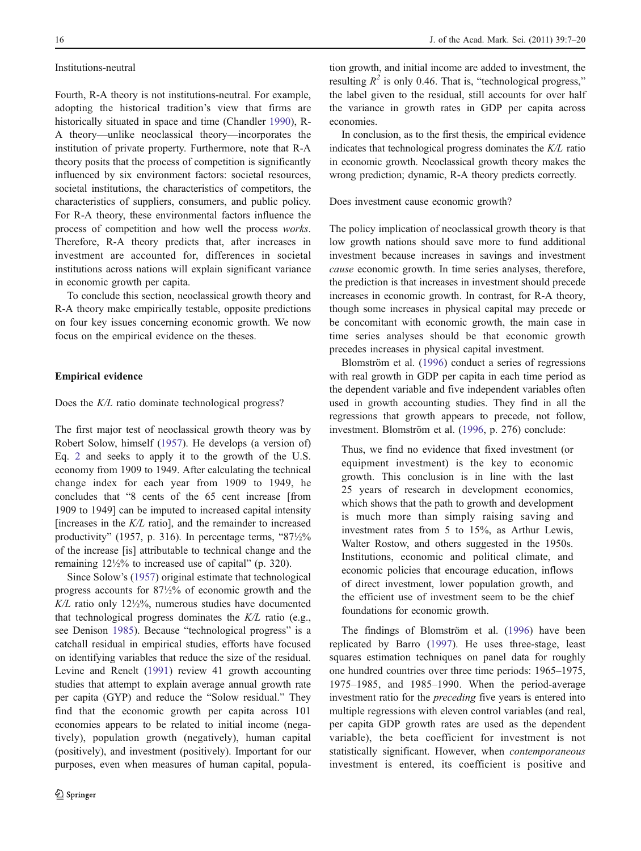#### Institutions-neutral

Fourth, R-A theory is not institutions-neutral. For example, adopting the historical tradition's view that firms are historically situated in space and time (Chandler [1990](#page-12-0)), R-A theory—unlike neoclassical theory—incorporates the institution of private property. Furthermore, note that R-A theory posits that the process of competition is significantly influenced by six environment factors: societal resources, societal institutions, the characteristics of competitors, the characteristics of suppliers, consumers, and public policy. For R-A theory, these environmental factors influence the process of competition and how well the process works. Therefore, R-A theory predicts that, after increases in investment are accounted for, differences in societal institutions across nations will explain significant variance in economic growth per capita.

To conclude this section, neoclassical growth theory and R-A theory make empirically testable, opposite predictions on four key issues concerning economic growth. We now focus on the empirical evidence on the theses.

# Empirical evidence

Does the K/L ratio dominate technological progress?

The first major test of neoclassical growth theory was by Robert Solow, himself [\(1957](#page-13-0)). He develops (a version of) Eq. [2](#page-6-0) and seeks to apply it to the growth of the U.S. economy from 1909 to 1949. After calculating the technical change index for each year from 1909 to 1949, he concludes that "8 cents of the 65 cent increase [from 1909 to 1949] can be imputed to increased capital intensity [increases in the  $K/L$  ratio], and the remainder to increased productivity" (1957, p. 316). In percentage terms, "87½% of the increase [is] attributable to technical change and the remaining 12½% to increased use of capital" (p. 320).

Since Solow's [\(1957](#page-13-0)) original estimate that technological progress accounts for 87½% of economic growth and the K/L ratio only 12½%, numerous studies have documented that technological progress dominates the K/L ratio (e.g., see Denison [1985](#page-12-0)). Because "technological progress" is a catchall residual in empirical studies, efforts have focused on identifying variables that reduce the size of the residual. Levine and Renelt [\(1991](#page-13-0)) review 41 growth accounting studies that attempt to explain average annual growth rate per capita (GYP) and reduce the "Solow residual." They find that the economic growth per capita across 101 economies appears to be related to initial income (negatively), population growth (negatively), human capital (positively), and investment (positively). Important for our purposes, even when measures of human capital, population growth, and initial income are added to investment, the resulting  $R^2$  is only 0.46. That is, "technological progress," the label given to the residual, still accounts for over half the variance in growth rates in GDP per capita across economies.

In conclusion, as to the first thesis, the empirical evidence indicates that technological progress dominates the K/L ratio in economic growth. Neoclassical growth theory makes the wrong prediction; dynamic, R-A theory predicts correctly.

Does investment cause economic growth?

The policy implication of neoclassical growth theory is that low growth nations should save more to fund additional investment because increases in savings and investment cause economic growth. In time series analyses, therefore, the prediction is that increases in investment should precede increases in economic growth. In contrast, for R-A theory, though some increases in physical capital may precede or be concomitant with economic growth, the main case in time series analyses should be that economic growth precedes increases in physical capital investment.

Blomström et al. ([1996](#page-12-0)) conduct a series of regressions with real growth in GDP per capita in each time period as the dependent variable and five independent variables often used in growth accounting studies. They find in all the regressions that growth appears to precede, not follow, investment. Blomström et al. ([1996](#page-12-0), p. 276) conclude:

Thus, we find no evidence that fixed investment (or equipment investment) is the key to economic growth. This conclusion is in line with the last 25 years of research in development economics, which shows that the path to growth and development is much more than simply raising saving and investment rates from 5 to 15%, as Arthur Lewis, Walter Rostow, and others suggested in the 1950s. Institutions, economic and political climate, and economic policies that encourage education, inflows of direct investment, lower population growth, and the efficient use of investment seem to be the chief foundations for economic growth.

The findings of Blomström et al. [\(1996](#page-12-0)) have been replicated by Barro [\(1997](#page-12-0)). He uses three-stage, least squares estimation techniques on panel data for roughly one hundred countries over three time periods: 1965–1975, 1975–1985, and 1985–1990. When the period-average investment ratio for the preceding five years is entered into multiple regressions with eleven control variables (and real, per capita GDP growth rates are used as the dependent variable), the beta coefficient for investment is not statistically significant. However, when contemporaneous investment is entered, its coefficient is positive and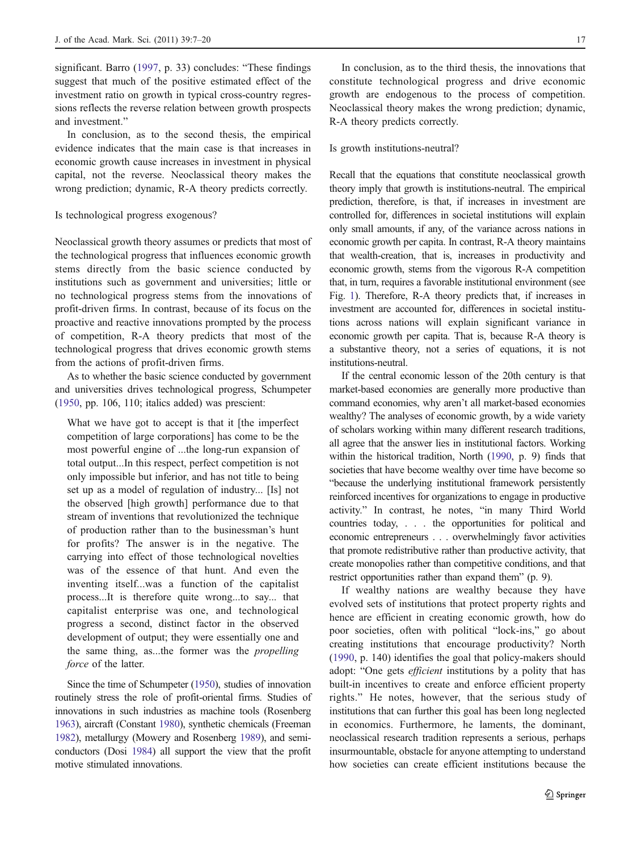significant. Barro [\(1997](#page-12-0), p. 33) concludes: "These findings suggest that much of the positive estimated effect of the investment ratio on growth in typical cross-country regressions reflects the reverse relation between growth prospects and investment."

In conclusion, as to the second thesis, the empirical evidence indicates that the main case is that increases in economic growth cause increases in investment in physical capital, not the reverse. Neoclassical theory makes the wrong prediction; dynamic, R-A theory predicts correctly.

# Is technological progress exogenous?

Neoclassical growth theory assumes or predicts that most of the technological progress that influences economic growth stems directly from the basic science conducted by institutions such as government and universities; little or no technological progress stems from the innovations of profit-driven firms. In contrast, because of its focus on the proactive and reactive innovations prompted by the process of competition, R-A theory predicts that most of the technological progress that drives economic growth stems from the actions of profit-driven firms.

As to whether the basic science conducted by government and universities drives technological progress, Schumpeter [\(1950,](#page-13-0) pp. 106, 110; italics added) was prescient:

What we have got to accept is that it [the imperfect competition of large corporations] has come to be the most powerful engine of ...the long-run expansion of total output...In this respect, perfect competition is not only impossible but inferior, and has not title to being set up as a model of regulation of industry... [Is] not the observed [high growth] performance due to that stream of inventions that revolutionized the technique of production rather than to the businessman's hunt for profits? The answer is in the negative. The carrying into effect of those technological novelties was of the essence of that hunt. And even the inventing itself...was a function of the capitalist process...It is therefore quite wrong...to say... that capitalist enterprise was one, and technological progress a second, distinct factor in the observed development of output; they were essentially one and the same thing, as...the former was the propelling force of the latter.

Since the time of Schumpeter ([1950\)](#page-13-0), studies of innovation routinely stress the role of profit-oriental firms. Studies of innovations in such industries as machine tools (Rosenberg [1963](#page-13-0)), aircraft (Constant [1980\)](#page-12-0), synthetic chemicals (Freeman [1982](#page-12-0)), metallurgy (Mowery and Rosenberg [1989](#page-13-0)), and semiconductors (Dosi [1984\)](#page-12-0) all support the view that the profit motive stimulated innovations.

In conclusion, as to the third thesis, the innovations that constitute technological progress and drive economic growth are endogenous to the process of competition. Neoclassical theory makes the wrong prediction; dynamic, R-A theory predicts correctly.

#### Is growth institutions-neutral?

Recall that the equations that constitute neoclassical growth theory imply that growth is institutions-neutral. The empirical prediction, therefore, is that, if increases in investment are controlled for, differences in societal institutions will explain only small amounts, if any, of the variance across nations in economic growth per capita. In contrast, R-A theory maintains that wealth-creation, that is, increases in productivity and economic growth, stems from the vigorous R-A competition that, in turn, requires a favorable institutional environment (see Fig. [1\)](#page-3-0). Therefore, R-A theory predicts that, if increases in investment are accounted for, differences in societal institutions across nations will explain significant variance in economic growth per capita. That is, because R-A theory is a substantive theory, not a series of equations, it is not institutions-neutral.

If the central economic lesson of the 20th century is that market-based economies are generally more productive than command economies, why aren't all market-based economies wealthy? The analyses of economic growth, by a wide variety of scholars working within many different research traditions, all agree that the answer lies in institutional factors. Working within the historical tradition, North [\(1990](#page-13-0), p. 9) finds that societies that have become wealthy over time have become so "because the underlying institutional framework persistently reinforced incentives for organizations to engage in productive activity." In contrast, he notes, "in many Third World countries today, . . . the opportunities for political and economic entrepreneurs . . . overwhelmingly favor activities that promote redistributive rather than productive activity, that create monopolies rather than competitive conditions, and that restrict opportunities rather than expand them" (p. 9).

If wealthy nations are wealthy because they have evolved sets of institutions that protect property rights and hence are efficient in creating economic growth, how do poor societies, often with political "lock-ins," go about creating institutions that encourage productivity? North [\(1990](#page-13-0), p. 140) identifies the goal that policy-makers should adopt: "One gets efficient institutions by a polity that has built-in incentives to create and enforce efficient property rights." He notes, however, that the serious study of institutions that can further this goal has been long neglected in economics. Furthermore, he laments, the dominant, neoclassical research tradition represents a serious, perhaps insurmountable, obstacle for anyone attempting to understand how societies can create efficient institutions because the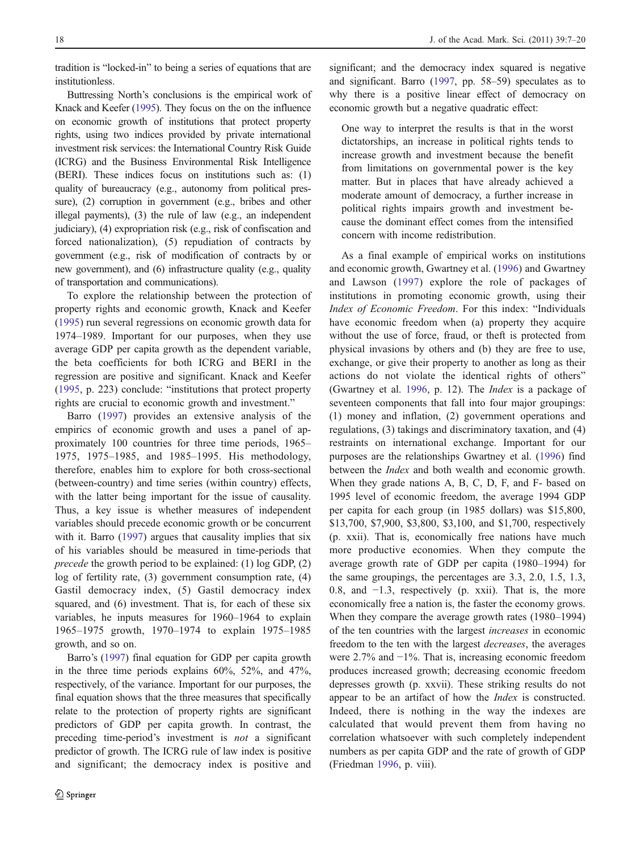tradition is "locked-in" to being a series of equations that are institutionless.

Buttressing North's conclusions is the empirical work of Knack and Keefer ([1995\)](#page-13-0). They focus on the on the influence on economic growth of institutions that protect property rights, using two indices provided by private international investment risk services: the International Country Risk Guide (ICRG) and the Business Environmental Risk Intelligence (BERI). These indices focus on institutions such as: (1) quality of bureaucracy (e.g., autonomy from political pressure), (2) corruption in government (e.g., bribes and other illegal payments), (3) the rule of law (e.g., an independent judiciary), (4) expropriation risk (e.g., risk of confiscation and forced nationalization), (5) repudiation of contracts by government (e.g., risk of modification of contracts by or new government), and (6) infrastructure quality (e.g., quality of transportation and communications).

To explore the relationship between the protection of property rights and economic growth, Knack and Keefer [\(1995](#page-13-0)) run several regressions on economic growth data for 1974–1989. Important for our purposes, when they use average GDP per capita growth as the dependent variable, the beta coefficients for both ICRG and BERI in the regression are positive and significant. Knack and Keefer [\(1995](#page-13-0), p. 223) conclude: "institutions that protect property rights are crucial to economic growth and investment."

Barro ([1997\)](#page-12-0) provides an extensive analysis of the empirics of economic growth and uses a panel of approximately 100 countries for three time periods, 1965– 1975, 1975–1985, and 1985–1995. His methodology, therefore, enables him to explore for both cross-sectional (between-country) and time series (within country) effects, with the latter being important for the issue of causality. Thus, a key issue is whether measures of independent variables should precede economic growth or be concurrent with it. Barro [\(1997](#page-12-0)) argues that causality implies that six of his variables should be measured in time-periods that precede the growth period to be explained: (1) log GDP, (2) log of fertility rate, (3) government consumption rate, (4) Gastil democracy index, (5) Gastil democracy index squared, and (6) investment. That is, for each of these six variables, he inputs measures for 1960–1964 to explain 1965–1975 growth, 1970–1974 to explain 1975–1985 growth, and so on.

Barro's ([1997](#page-12-0)) final equation for GDP per capita growth in the three time periods explains 60%, 52%, and 47%, respectively, of the variance. Important for our purposes, the final equation shows that the three measures that specifically relate to the protection of property rights are significant predictors of GDP per capita growth. In contrast, the preceding time-period's investment is not a significant predictor of growth. The ICRG rule of law index is positive and significant; the democracy index is positive and significant; and the democracy index squared is negative and significant. Barro ([1997](#page-12-0), pp. 58–59) speculates as to why there is a positive linear effect of democracy on economic growth but a negative quadratic effect:

One way to interpret the results is that in the worst dictatorships, an increase in political rights tends to increase growth and investment because the benefit from limitations on governmental power is the key matter. But in places that have already achieved a moderate amount of democracy, a further increase in political rights impairs growth and investment because the dominant effect comes from the intensified concern with income redistribution.

As a final example of empirical works on institutions and economic growth, Gwartney et al. ([1996\)](#page-12-0) and Gwartney and Lawson [\(1997\)](#page-12-0) explore the role of packages of institutions in promoting economic growth, using their Index of Economic Freedom. For this index: "Individuals have economic freedom when (a) property they acquire without the use of force, fraud, or theft is protected from physical invasions by others and (b) they are free to use, exchange, or give their property to another as long as their actions do not violate the identical rights of others" (Gwartney et al. [1996](#page-12-0), p. 12). The Index is a package of seventeen components that fall into four major groupings: (1) money and inflation, (2) government operations and regulations, (3) takings and discriminatory taxation, and (4) restraints on international exchange. Important for our purposes are the relationships Gwartney et al. [\(1996](#page-12-0)) find between the Index and both wealth and economic growth. When they grade nations A, B, C, D, F, and F- based on 1995 level of economic freedom, the average 1994 GDP per capita for each group (in 1985 dollars) was \$15,800, \$13,700, \$7,900, \$3,800, \$3,100, and \$1,700, respectively (p. xxii). That is, economically free nations have much more productive economies. When they compute the average growth rate of GDP per capita (1980–1994) for the same groupings, the percentages are 3.3, 2.0, 1.5, 1.3, 0.8, and −1.3, respectively (p. xxii). That is, the more economically free a nation is, the faster the economy grows. When they compare the average growth rates (1980–1994) of the ten countries with the largest increases in economic freedom to the ten with the largest decreases, the averages were 2.7% and −1%. That is, increasing economic freedom produces increased growth; decreasing economic freedom depresses growth (p. xxvii). These striking results do not appear to be an artifact of how the Index is constructed. Indeed, there is nothing in the way the indexes are calculated that would prevent them from having no correlation whatsoever with such completely independent numbers as per capita GDP and the rate of growth of GDP (Friedman [1996](#page-12-0), p. viii).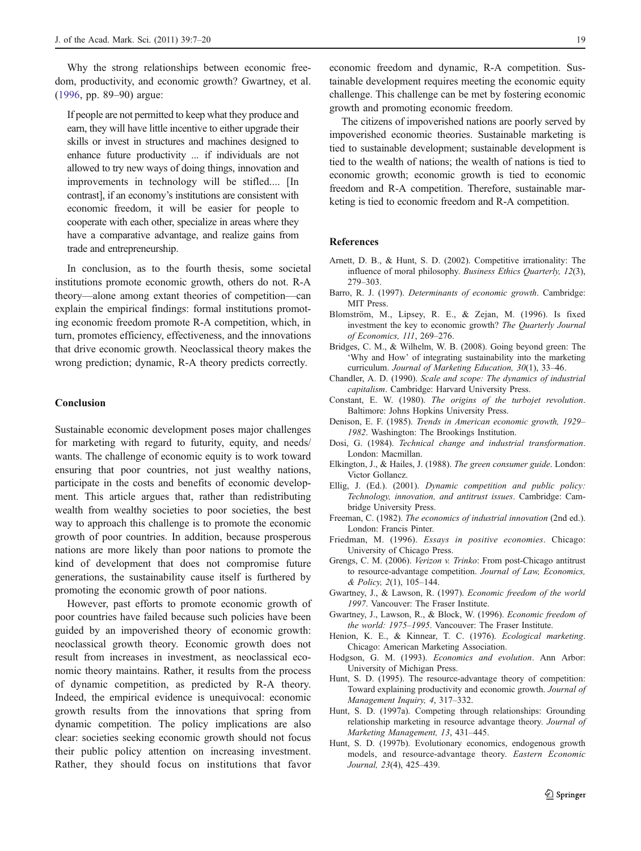<span id="page-12-0"></span>Why the strong relationships between economic freedom, productivity, and economic growth? Gwartney, et al. (1996, pp. 89–90) argue:

If people are not permitted to keep what they produce and earn, they will have little incentive to either upgrade their skills or invest in structures and machines designed to enhance future productivity ... if individuals are not allowed to try new ways of doing things, innovation and improvements in technology will be stifled.... [In contrast], if an economy's institutions are consistent with economic freedom, it will be easier for people to cooperate with each other, specialize in areas where they have a comparative advantage, and realize gains from trade and entrepreneurship.

In conclusion, as to the fourth thesis, some societal institutions promote economic growth, others do not. R-A theory—alone among extant theories of competition—can explain the empirical findings: formal institutions promoting economic freedom promote R-A competition, which, in turn, promotes efficiency, effectiveness, and the innovations that drive economic growth. Neoclassical theory makes the wrong prediction; dynamic, R-A theory predicts correctly.

# Conclusion

Sustainable economic development poses major challenges for marketing with regard to futurity, equity, and needs/ wants. The challenge of economic equity is to work toward ensuring that poor countries, not just wealthy nations, participate in the costs and benefits of economic development. This article argues that, rather than redistributing wealth from wealthy societies to poor societies, the best way to approach this challenge is to promote the economic growth of poor countries. In addition, because prosperous nations are more likely than poor nations to promote the kind of development that does not compromise future generations, the sustainability cause itself is furthered by promoting the economic growth of poor nations.

However, past efforts to promote economic growth of poor countries have failed because such policies have been guided by an impoverished theory of economic growth: neoclassical growth theory. Economic growth does not result from increases in investment, as neoclassical economic theory maintains. Rather, it results from the process of dynamic competition, as predicted by R-A theory. Indeed, the empirical evidence is unequivocal: economic growth results from the innovations that spring from dynamic competition. The policy implications are also clear: societies seeking economic growth should not focus their public policy attention on increasing investment. Rather, they should focus on institutions that favor

economic freedom and dynamic, R-A competition. Sustainable development requires meeting the economic equity challenge. This challenge can be met by fostering economic growth and promoting economic freedom.

The citizens of impoverished nations are poorly served by impoverished economic theories. Sustainable marketing is tied to sustainable development; sustainable development is tied to the wealth of nations; the wealth of nations is tied to economic growth; economic growth is tied to economic freedom and R-A competition. Therefore, sustainable marketing is tied to economic freedom and R-A competition.

# References

- Arnett, D. B., & Hunt, S. D. (2002). Competitive irrationality: The influence of moral philosophy. Business Ethics Quarterly, 12(3), 279–303.
- Barro, R. J. (1997). Determinants of economic growth. Cambridge: MIT Press.
- Blomström, M., Lipsey, R. E., & Zejan, M. (1996). Is fixed investment the key to economic growth? The Quarterly Journal of Economics, 111, 269–276.
- Bridges, C. M., & Wilhelm, W. B. (2008). Going beyond green: The 'Why and How' of integrating sustainability into the marketing curriculum. Journal of Marketing Education, 30(1), 33–46.
- Chandler, A. D. (1990). Scale and scope: The dynamics of industrial capitalism. Cambridge: Harvard University Press.
- Constant, E. W. (1980). The origins of the turbojet revolution. Baltimore: Johns Hopkins University Press.
- Denison, E. F. (1985). Trends in American economic growth, 1929– 1982. Washington: The Brookings Institution.
- Dosi, G. (1984). Technical change and industrial transformation. London: Macmillan.
- Elkington, J., & Hailes, J. (1988). The green consumer guide. London: Victor Gollancz.
- Ellig, J. (Ed.). (2001). Dynamic competition and public policy: Technology, innovation, and antitrust issues. Cambridge: Cambridge University Press.
- Freeman, C. (1982). The economics of industrial innovation (2nd ed.). London: Francis Pinter.
- Friedman, M. (1996). Essays in positive economies. Chicago: University of Chicago Press.
- Grengs, C. M. (2006). Verizon v. Trinko: From post-Chicago antitrust to resource-advantage competition. Journal of Law, Economics, & Policy, 2(1), 105–144.
- Gwartney, J., & Lawson, R. (1997). Economic freedom of the world 1997. Vancouver: The Fraser Institute.
- Gwartney, J., Lawson, R., & Block, W. (1996). Economic freedom of the world: 1975–1995. Vancouver: The Fraser Institute.
- Henion, K. E., & Kinnear, T. C. (1976). *Ecological marketing*. Chicago: American Marketing Association.
- Hodgson, G. M. (1993). Economics and evolution. Ann Arbor: University of Michigan Press.
- Hunt, S. D. (1995). The resource-advantage theory of competition: Toward explaining productivity and economic growth. Journal of Management Inquiry, 4, 317–332.
- Hunt, S. D. (1997a). Competing through relationships: Grounding relationship marketing in resource advantage theory. Journal of Marketing Management, 13, 431–445.
- Hunt, S. D. (1997b). Evolutionary economics, endogenous growth models, and resource-advantage theory. Eastern Economic Journal, 23(4), 425–439.